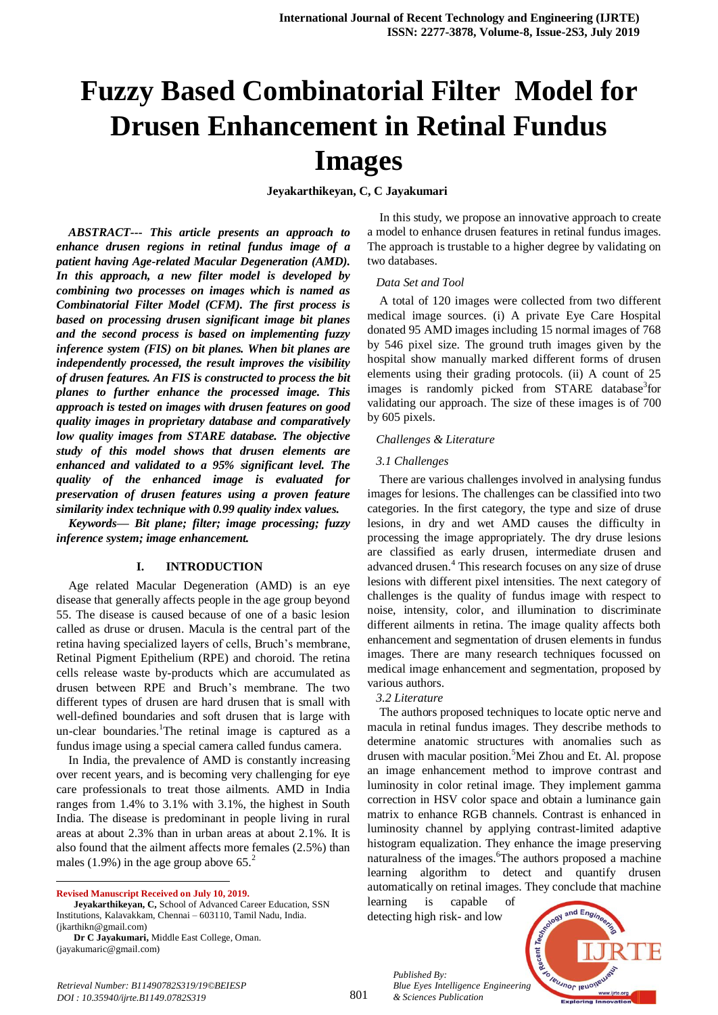# **Fuzzy Based Combinatorial Filter Model for Drusen Enhancement in Retinal Fundus Images**

**Jeyakarthikeyan, C, C Jayakumari** 

*ABSTRACT--- This article presents an approach to enhance drusen regions in retinal fundus image of a patient having Age-related Macular Degeneration (AMD). In this approach, a new filter model is developed by combining two processes on images which is named as Combinatorial Filter Model (CFM). The first process is based on processing drusen significant image bit planes and the second process is based on implementing fuzzy inference system (FIS) on bit planes. When bit planes are independently processed, the result improves the visibility of drusen features. An FIS is constructed to process the bit planes to further enhance the processed image. This approach is tested on images with drusen features on good quality images in proprietary database and comparatively low quality images from STARE database. The objective study of this model shows that drusen elements are enhanced and validated to a 95% significant level. The quality of the enhanced image is evaluated for preservation of drusen features using a proven feature similarity index technique with 0.99 quality index values.* 

*Keywords— Bit plane; filter; image processing; fuzzy inference system; image enhancement.*

#### **I. INTRODUCTION**

Age related Macular Degeneration (AMD) is an eye disease that generally affects people in the age group beyond 55. The disease is caused because of one of a basic lesion called as druse or drusen. Macula is the central part of the retina having specialized layers of cells, Bruch's membrane, Retinal Pigment Epithelium (RPE) and choroid. The retina cells release waste by-products which are accumulated as drusen between RPE and Bruch's membrane. The two different types of drusen are hard drusen that is small with well-defined boundaries and soft drusen that is large with un-clear boundaries.<sup>1</sup>The retinal image is captured as a fundus image using a special camera called fundus camera.

In India, the prevalence of AMD is constantly increasing over recent years, and is becoming very challenging for eye care professionals to treat those ailments. AMD in India ranges from 1.4% to 3.1% with 3.1%, the highest in South India. The disease is predominant in people living in rural areas at about 2.3% than in urban areas at about 2.1%. It is also found that the ailment affects more females (2.5%) than males (1.9%) in the age group above  $65<sup>2</sup>$ 

**Revised Manuscript Received on July 10, 2019.**

 $\ddot{\phantom{a}}$ 

In this study, we propose an innovative approach to create a model to enhance drusen features in retinal fundus images. The approach is trustable to a higher degree by validating on two databases.

#### *Data Set and Tool*

A total of 120 images were collected from two different medical image sources. (i) A private Eye Care Hospital donated 95 AMD images including 15 normal images of 768 by 546 pixel size. The ground truth images given by the hospital show manually marked different forms of drusen elements using their grading protocols. (ii) A count of 25 images is randomly picked from STARE database<sup>3</sup>for validating our approach. The size of these images is of 700 by 605 pixels.

#### *Challenges & Literature*

#### *3.1 Challenges*

There are various challenges involved in analysing fundus images for lesions. The challenges can be classified into two categories. In the first category, the type and size of druse lesions, in dry and wet AMD causes the difficulty in processing the image appropriately. The dry druse lesions are classified as early drusen, intermediate drusen and advanced drusen.<sup>4</sup> This research focuses on any size of druse lesions with different pixel intensities. The next category of challenges is the quality of fundus image with respect to noise, intensity, color, and illumination to discriminate different ailments in retina. The image quality affects both enhancement and segmentation of drusen elements in fundus images. There are many research techniques focussed on medical image enhancement and segmentation, proposed by various authors.

#### *3.2 Literature*

The authors proposed techniques to locate optic nerve and macula in retinal fundus images. They describe methods to determine anatomic structures with anomalies such as drusen with macular position.<sup>5</sup>Mei Zhou and Et. Al. propose an image enhancement method to improve contrast and luminosity in color retinal image. They implement gamma correction in HSV color space and obtain a luminance gain matrix to enhance RGB channels. Contrast is enhanced in luminosity channel by applying contrast-limited adaptive histogram equalization. They enhance the image preserving naturalness of the images.<sup>6</sup>The authors proposed a machine learning algorithm to detect and quantify drusen automatically on retinal images. They conclude that machine

learning is capable of detecting high risk- and low

*& Sciences Publication* 

*Published By:*



**Jeyakarthikeyan, C,** School of Advanced Career Education, SSN Institutions, Kalavakkam, Chennai – 603110, Tamil Nadu, India. (jkarthikn@gmail.com)

**Dr C Jayakumari,** Middle East College, Oman. (jayakumaric@gmail.com)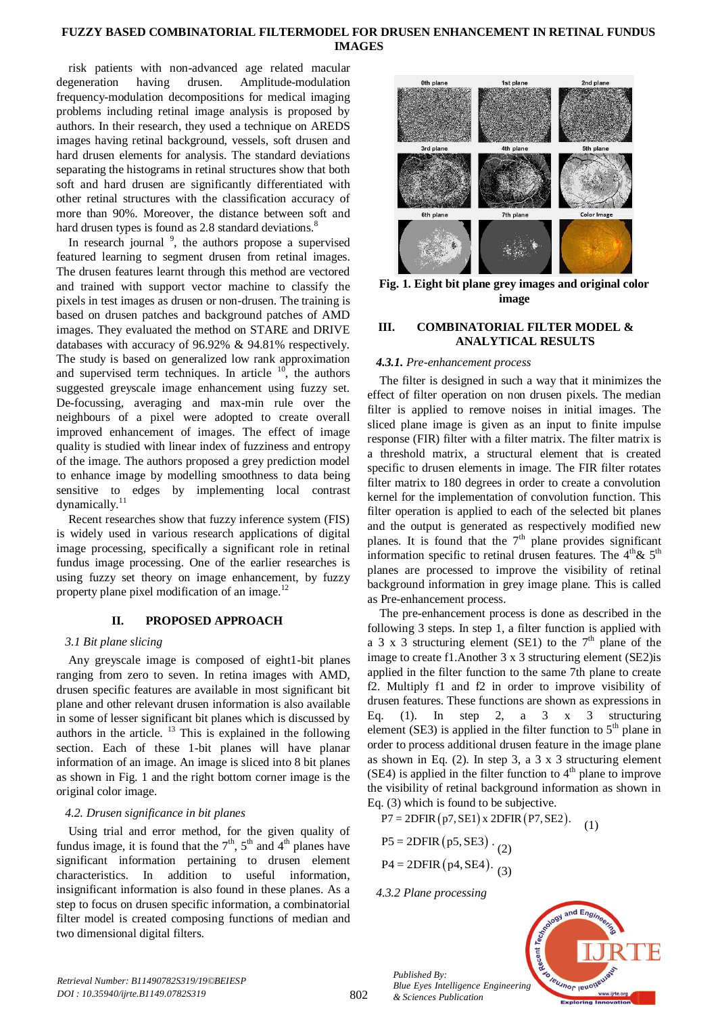## **FUZZY BASED COMBINATORIAL FILTERMODEL FOR DRUSEN ENHANCEMENT IN RETINAL FUNDUS IMAGES**

risk patients with non-advanced age related macular degeneration having drusen. Amplitude-modulation frequency-modulation decompositions for medical imaging problems including retinal image analysis is proposed by authors. In their research, they used a technique on AREDS images having retinal background, vessels, soft drusen and hard drusen elements for analysis. The standard deviations separating the histograms in retinal structures show that both soft and hard drusen are significantly differentiated with other retinal structures with the classification accuracy of more than 90%. Moreover, the distance between soft and hard drusen types is found as 2.8 standard deviations.<sup>8</sup>

In research journal  $\frac{9}{2}$ , the authors propose a supervised featured learning to segment drusen from retinal images. The drusen features learnt through this method are vectored and trained with support vector machine to classify the pixels in test images as drusen or non-drusen. The training is based on drusen patches and background patches of AMD images. They evaluated the method on STARE and DRIVE databases with accuracy of 96.92% & 94.81% respectively. The study is based on generalized low rank approximation and supervised term techniques. In article  $10$ , the authors suggested greyscale image enhancement using fuzzy set. De-focussing, averaging and max-min rule over the neighbours of a pixel were adopted to create overall improved enhancement of images. The effect of image quality is studied with linear index of fuzziness and entropy of the image. The authors proposed a grey prediction model to enhance image by modelling smoothness to data being sensitive to edges by implementing local contrast dynamically.<sup>11</sup>

Recent researches show that fuzzy inference system (FIS) is widely used in various research applications of digital image processing, specifically a significant role in retinal fundus image processing. One of the earlier researches is using fuzzy set theory on image enhancement, by fuzzy property plane pixel modification of an image. $12$ 

## **II. PROPOSED APPROACH**

#### *3.1 Bit plane slicing*

Any greyscale image is composed of eight1-bit planes ranging from zero to seven. In retina images with AMD, drusen specific features are available in most significant bit plane and other relevant drusen information is also available in some of lesser significant bit planes which is discussed by authors in the article.  $13$  This is explained in the following section. Each of these 1-bit planes will have planar information of an image. An image is sliced into 8 bit planes as shown in Fig. 1 and the right bottom corner image is the original color image.

## *4.2. Drusen significance in bit planes*

Using trial and error method, for the given quality of fundus image, it is found that the  $7<sup>th</sup>$ ,  $5<sup>th</sup>$  and  $4<sup>th</sup>$  planes have significant information pertaining to drusen element characteristics. In addition to useful information, insignificant information is also found in these planes. As a step to focus on drusen specific information, a combinatorial filter model is created composing functions of median and two dimensional digital filters.



**Fig. 1. Eight bit plane grey images and original color image**

## **III. COMBINATORIAL FILTER MODEL & ANALYTICAL RESULTS**

## *4.3.1. Pre-enhancement process*

The filter is designed in such a way that it minimizes the effect of filter operation on non drusen pixels. The median filter is applied to remove noises in initial images. The sliced plane image is given as an input to finite impulse response (FIR) filter with a filter matrix. The filter matrix is a threshold matrix, a structural element that is created specific to drusen elements in image. The FIR filter rotates filter matrix to 180 degrees in order to create a convolution kernel for the implementation of convolution function. This filter operation is applied to each of the selected bit planes and the output is generated as respectively modified new planes. It is found that the  $7<sup>th</sup>$  plane provides significant information specific to retinal drusen features. The  $4<sup>th</sup>$ &  $5<sup>th</sup>$ planes are processed to improve the visibility of retinal background information in grey image plane. This is called as Pre-enhancement process.

The pre-enhancement process is done as described in the following 3 steps. In step 1, a filter function is applied with a 3 x 3 structuring element (SE1) to the  $7<sup>th</sup>$  plane of the image to create f1.Another 3 x 3 structuring element (SE2)is applied in the filter function to the same 7th plane to create f2. Multiply f1 and f2 in order to improve visibility of drusen features. These functions are shown as expressions in Eq. (1). In step 2, a  $3 \times 3$  structuring element (SE3) is applied in the filter function to  $5<sup>th</sup>$  plane in order to process additional drusen feature in the image plane as shown in Eq. (2). In step 3, a 3 x 3 structuring element  $(SE4)$  is applied in the filter function to  $4<sup>th</sup>$  plane to improve the visibility of retinal background information as shown in Eq. (3) which is found to be subjective.

 $P7 = 2DFIR(p7, SE1) \times 2DFIR(p7, SE2)$ . (1)

P5 = 2DFIR (p5, SE3) 
$$
\cdot
$$
 (2)  
P4 = 2DFIR (p4, SE4)  $\cdot$  (3)

*4.3.2 Plane processing*

*Published By:*

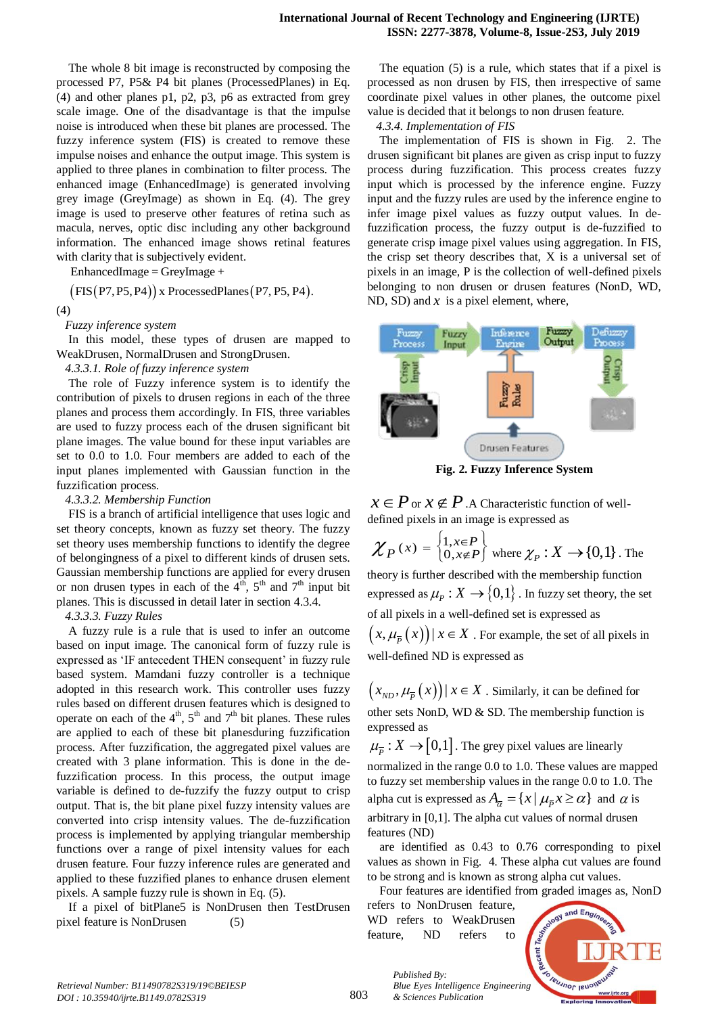The whole 8 bit image is reconstructed by composing the processed P7, P5& P4 bit planes (ProcessedPlanes) in Eq. (4) and other planes p1, p2, p3, p6 as extracted from grey scale image. One of the disadvantage is that the impulse noise is introduced when these bit planes are processed. The fuzzy inference system (FIS) is created to remove these impulse noises and enhance the output image. This system is applied to three planes in combination to filter process. The enhanced image (EnhancedImage) is generated involving grey image (GreyImage) as shown in Eq. (4). The grey image is used to preserve other features of retina such as macula, nerves, optic disc including any other background information. The enhanced image shows retinal features with clarity that is subjectively evident.

 $EnhancedImage = GreyImage +$ 

EnhancedImage =  $GreyImage +$ <br>  $(FIS(P7, P5, P4))$  x ProcessedPlanes (P7, P5, P4).

(4)

*Fuzzy inference system*

In this model, these types of drusen are mapped to WeakDrusen, NormalDrusen and StrongDrusen.

## *4.3.3.1. Role of fuzzy inference system*

The role of Fuzzy inference system is to identify the contribution of pixels to drusen regions in each of the three planes and process them accordingly. In FIS, three variables are used to fuzzy process each of the drusen significant bit plane images. The value bound for these input variables are set to 0.0 to 1.0. Four members are added to each of the input planes implemented with Gaussian function in the fuzzification process.

#### *4.3.3.2. Membership Function*

FIS is a branch of artificial intelligence that uses logic and set theory concepts, known as fuzzy set theory. The fuzzy set theory uses membership functions to identify the degree of belongingness of a pixel to different kinds of drusen sets. Gaussian membership functions are applied for every drusen or non drusen types in each of the  $4<sup>th</sup>$ ,  $5<sup>th</sup>$  and  $7<sup>th</sup>$  input bit planes. This is discussed in detail later in section 4.3.4.

#### *4.3.3.3. Fuzzy Rules*

A fuzzy rule is a rule that is used to infer an outcome based on input image. The canonical form of fuzzy rule is expressed as 'IF antecedent THEN consequent' in fuzzy rule based system. Mamdani fuzzy controller is a technique adopted in this research work. This controller uses fuzzy rules based on different drusen features which is designed to operate on each of the  $4<sup>th</sup>$ ,  $5<sup>th</sup>$  and  $7<sup>th</sup>$  bit planes. These rules are applied to each of these bit planesduring fuzzification process. After fuzzification, the aggregated pixel values are created with 3 plane information. This is done in the defuzzification process. In this process, the output image variable is defined to de-fuzzify the fuzzy output to crisp output. That is, the bit plane pixel fuzzy intensity values are converted into crisp intensity values. The de-fuzzification process is implemented by applying triangular membership functions over a range of pixel intensity values for each drusen feature. Four fuzzy inference rules are generated and applied to these fuzzified planes to enhance drusen element pixels. A sample fuzzy rule is shown in Eq. (5).

If a pixel of bitPlane5 is NonDrusen then TestDrusen pixel feature is NonDrusen (5)

The equation (5) is a rule, which states that if a pixel is processed as non drusen by FIS, then irrespective of same coordinate pixel values in other planes, the outcome pixel value is decided that it belongs to non drusen feature.

*4.3.4. Implementation of FIS*

The implementation of FIS is shown in Fig. 2. The drusen significant bit planes are given as crisp input to fuzzy process during fuzzification. This process creates fuzzy input which is processed by the inference engine. Fuzzy input and the fuzzy rules are used by the inference engine to infer image pixel values as fuzzy output values. In defuzzification process, the fuzzy output is de-fuzzified to generate crisp image pixel values using aggregation. In FIS, the crisp set theory describes that, X is a universal set of pixels in an image, P is the collection of well-defined pixels belonging to non drusen or drusen features (NonD, WD, ND, SD) and  $x$  is a pixel element, where,



**Fig. 2. Fuzzy Inference System**

 $x \in P$  or  $x \notin P$ . A Characteristic function of welldefined pixels in an image is expressed as

 $\chi_{P}(x) = \begin{cases} 1, & x \in P \\ 0, & x \notin P \end{cases}$  $=\begin{cases} 1, & x \in P \\ 0, & x \notin P \end{cases}$  where  $\chi_P : X \to \{0,1\}$  . The theory is further described with the membership function expressed as  $\mu_{P}:X\rightarrow\{0,1\}$  . In fuzzy set theory, the set of all pixels in a well-defined set is expressed as  $(x, \mu_{\overline{P}}(x))$  |  $x \in X$  . For example, the set of all pixels in well-defined ND is expressed as

 $(x_{ND}, \mu_{\overline{P}}(x))$  |  $x \in X$  . Similarly, it can be defined for other sets NonD, WD & SD. The membership function is expressed as

 $\mu_{\overline{P}} : X \rightarrow [0,1]$ . The grey pixel values are linearly normalized in the range 0.0 to 1.0. These values are mapped to fuzzy set membership values in the range 0.0 to 1.0. The alpha cut is expressed as  $A_{\overline{\alpha}} = \{x \mid \mu_{\overline{P}} x \ge \alpha\}$  and  $\alpha$  is arbitrary in [0,1]. The alpha cut values of normal drusen features (ND)

are identified as 0.43 to 0.76 corresponding to pixel values as shown in Fig. 4. These alpha cut values are found to be strong and is known as strong alpha cut values.

Four features are identified from graded images as, NonD refers to NonDrusen feature, WD refers to WeakDrusen feature, ND refers to

*Published By:*

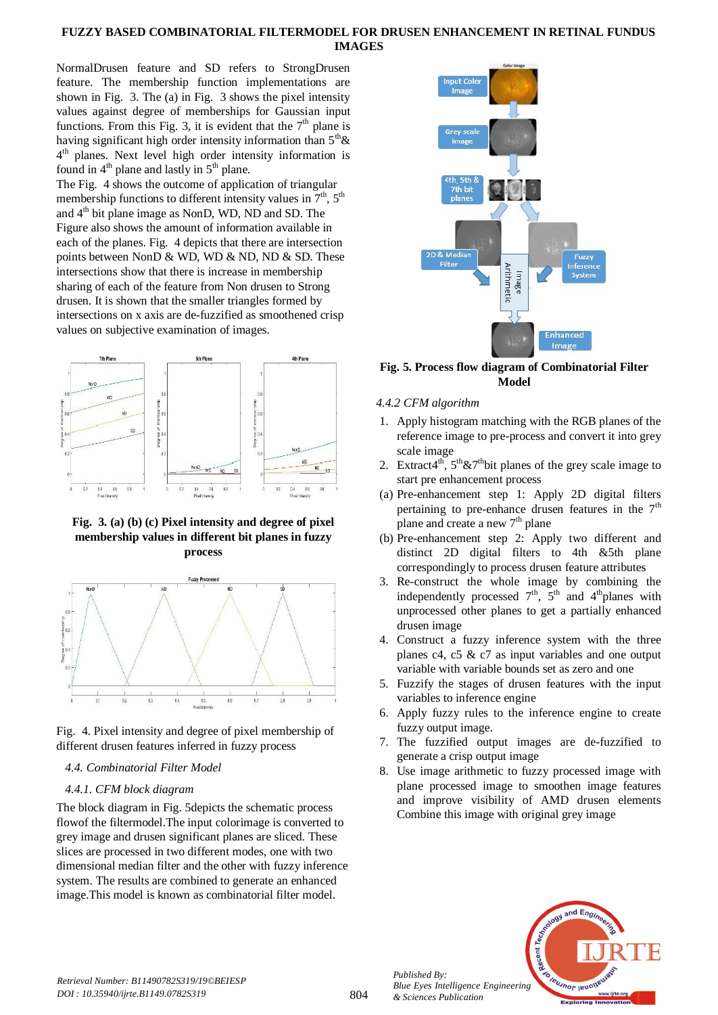# **FUZZY BASED COMBINATORIAL FILTERMODEL FOR DRUSEN ENHANCEMENT IN RETINAL FUNDUS IMAGES**

NormalDrusen feature and SD refers to StrongDrusen feature. The membership function implementations are shown in Fig. 3. The (a) in Fig. 3 shows the pixel intensity values against degree of memberships for Gaussian input functions. From this Fig. 3, it is evident that the  $7<sup>th</sup>$  plane is having significant high order intensity information than  $5<sup>th</sup> \&$ 4<sup>th</sup> planes. Next level high order intensity information is found in  $4<sup>th</sup>$  plane and lastly in  $5<sup>th</sup>$  plane.

The Fig. 4 shows the outcome of application of triangular membership functions to different intensity values in  $7<sup>th</sup>$ ,  $5<sup>th</sup>$ and 4<sup>th</sup> bit plane image as NonD, WD, ND and SD. The Figure also shows the amount of information available in each of the planes. Fig. 4 depicts that there are intersection points between NonD  $&$  WD, WD  $&$  ND, ND  $&$  SD. These intersections show that there is increase in membership sharing of each of the feature from Non drusen to Strong drusen. It is shown that the smaller triangles formed by intersections on x axis are de-fuzzified as smoothened crisp values on subjective examination of images.



**Fig. 3. (a) (b) (c) Pixel intensity and degree of pixel membership values in different bit planes in fuzzy process**



Fig. 4. Pixel intensity and degree of pixel membership of different drusen features inferred in fuzzy process

*4.4. Combinatorial Filter Model*

# *4.4.1. CFM block diagram*

The block diagram in Fig. 5depicts the schematic process flowof the filtermodel.The input colorimage is converted to grey image and drusen significant planes are sliced. These slices are processed in two different modes, one with two dimensional median filter and the other with fuzzy inference system. The results are combined to generate an enhanced image.This model is known as combinatorial filter model.



# **Fig. 5. Process flow diagram of Combinatorial Filter Model**

# *4.4.2 CFM algorithm*

- 1. Apply histogram matching with the RGB planes of the reference image to pre-process and convert it into grey scale image
- 2. Extract4<sup>th</sup>,  $5<sup>th</sup> \& 7<sup>th</sup>$ bit planes of the grey scale image to start pre enhancement process
- (a) Pre-enhancement step 1: Apply 2D digital filters pertaining to pre-enhance drusen features in the  $7<sup>th</sup>$ plane and create a new  $7<sup>th</sup>$  plane
- (b) Pre-enhancement step 2: Apply two different and distinct 2D digital filters to 4th &5th plane correspondingly to process drusen feature attributes
- 3. Re-construct the whole image by combining the independently processed  $7<sup>th</sup>$ ,  $5<sup>th</sup>$  and  $4<sup>th</sup>$ planes with unprocessed other planes to get a partially enhanced drusen image
- 4. Construct a fuzzy inference system with the three planes c4, c5 & c7 as input variables and one output variable with variable bounds set as zero and one
- 5. Fuzzify the stages of drusen features with the input variables to inference engine
- 6. Apply fuzzy rules to the inference engine to create fuzzy output image.
- 7. The fuzzified output images are de-fuzzified to generate a crisp output image
- 8. Use image arithmetic to fuzzy processed image with plane processed image to smoothen image features and improve visibility of AMD drusen elements Combine this image with original grey image



*Published By:*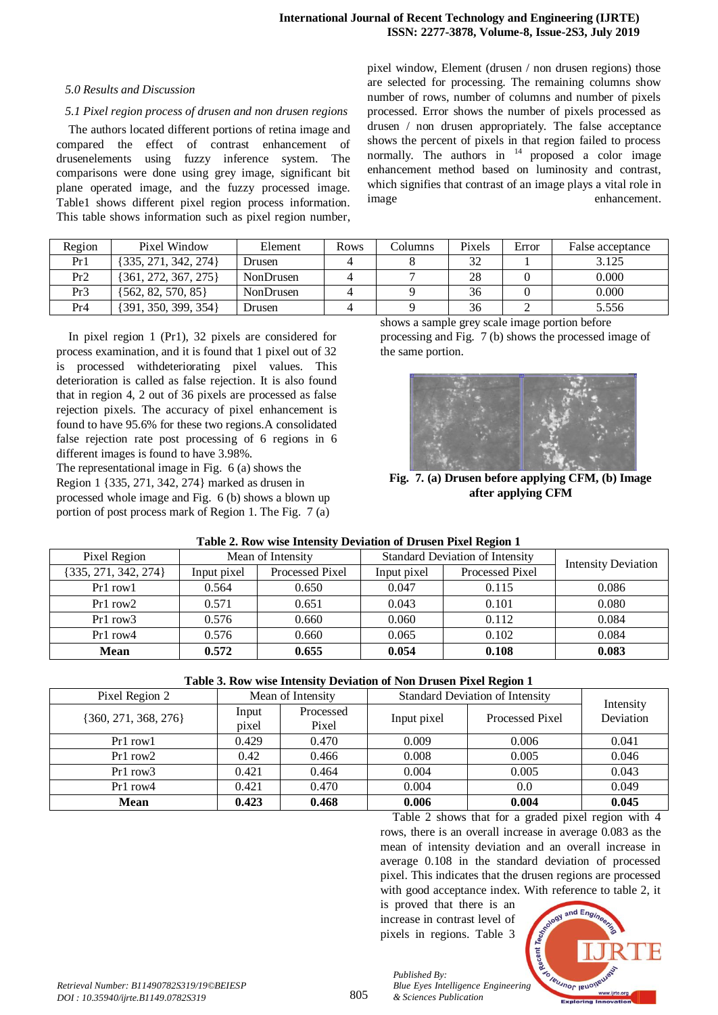## *5.0 Results and Discussion*

## *5.1 Pixel region process of drusen and non drusen regions*

The authors located different portions of retina image and compared the effect of contrast enhancement of drusenelements using fuzzy inference system. The comparisons were done using grey image, significant bit plane operated image, and the fuzzy processed image. Table1 shows different pixel region process information. This table shows information such as pixel region number,

| Region          | Pixel Window             | Element          | Rows | Columns | Pixels | Error | False acceptance |
|-----------------|--------------------------|------------------|------|---------|--------|-------|------------------|
| Pr1             | {335, 271, 342, 274}     | Drusen           |      |         | 32     |       | 3.125            |
| Pr2             | $\{361, 272, 367, 275\}$ | <b>NonDrusen</b> |      |         | 28     |       | 0.000            |
| Pr3             | $\{562, 82, 570, 85\}$   | NonDrusen        |      |         | 36     |       | 0.000            |
| Pr <sub>4</sub> | {391, 350, 399, 354}     | Drusen           |      |         | 36     |       | 5.556            |

In pixel region 1 (Pr1), 32 pixels are considered for process examination, and it is found that 1 pixel out of 32 is processed withdeteriorating pixel values. This deterioration is called as false rejection. It is also found that in region 4, 2 out of 36 pixels are processed as false rejection pixels. The accuracy of pixel enhancement is found to have 95.6% for these two regions.A consolidated false rejection rate post processing of 6 regions in 6 different images is found to have 3.98%.

The representational image in Fig. 6 (a) shows the Region 1 {335, 271, 342, 274} marked as drusen in processed whole image and Fig. 6 (b) shows a blown up portion of post process mark of Region 1. The Fig. 7 (a)

shows a sample grey scale image portion before processing and Fig. 7 (b) shows the processed image of the same portion.

pixel window, Element (drusen / non drusen regions) those are selected for processing. The remaining columns show number of rows, number of columns and number of pixels processed. Error shows the number of pixels processed as drusen / non drusen appropriately. The false acceptance shows the percent of pixels in that region failed to process normally. The authors in  $14$  proposed a color image enhancement method based on luminosity and contrast, which signifies that contrast of an image plays a vital role in image enhancement.



**Fig. 7. (a) Drusen before applying CFM, (b) Image after applying CFM**

| Mean of Intensity<br>Pixel Region |             |                 | <b>Standard Deviation of Intensity</b> |                 |                            |  |
|-----------------------------------|-------------|-----------------|----------------------------------------|-----------------|----------------------------|--|
| {335, 271, 342, 274}              | Input pixel | Processed Pixel | Input pixel                            | Processed Pixel | <b>Intensity Deviation</b> |  |
| Pr1 row1                          | 0.564       | 0.650           | 0.047                                  | 0.115           | 0.086                      |  |
| $Pr1$ row $2$                     | 0.571       | 0.651           | 0.043                                  | 0.101           | 0.080                      |  |
| $Pr1$ row $3$                     | 0.576       | 0.660           | 0.060                                  | 0.112           | 0.084                      |  |
| $Pr1$ row $4$                     | 0.576       | 0.660           | 0.065                                  | 0.102           | 0.084                      |  |
| <b>Mean</b>                       | 0.572       | 0.655           | 0.054                                  | 0.108           | 0.083                      |  |

#### **Table 2. Row wise Intensity Deviation of Drusen Pixel Region 1**

| Pixel Region 2           |       | Mean of Intensity | <b>Standard Deviation of Intensity</b> |                 |                        |
|--------------------------|-------|-------------------|----------------------------------------|-----------------|------------------------|
| $\{360, 271, 368, 276\}$ | Input | Processed         | Input pixel                            | Processed Pixel | Intensity<br>Deviation |
|                          | pixel | Pixel             |                                        |                 |                        |
| Pr1 row1                 | 0.429 | 0.470             | 0.009                                  | 0.006           | 0.041                  |
| $Pr1$ row $2$            | 0.42  | 0.466             | 0.008                                  | 0.005           | 0.046                  |
| $Pr1$ row $3$            | 0.421 | 0.464             | 0.004                                  | 0.005           | 0.043                  |
| $Pr1$ row $4$            | 0.421 | 0.470             | 0.004                                  | 0.0             | 0.049                  |
| <b>Mean</b>              | 0.423 | 0.468             | 0.006                                  | 0.004           | 0.045                  |

Table 2 shows that for a graded pixel region with 4 rows, there is an overall increase in average 0.083 as the mean of intensity deviation and an overall increase in average 0.108 in the standard deviation of processed pixel. This indicates that the drusen regions are processed with good acceptance index. With reference to table 2, it

is proved that there is an increase in contrast level of pixels in regions. Table 3

*Published By:*

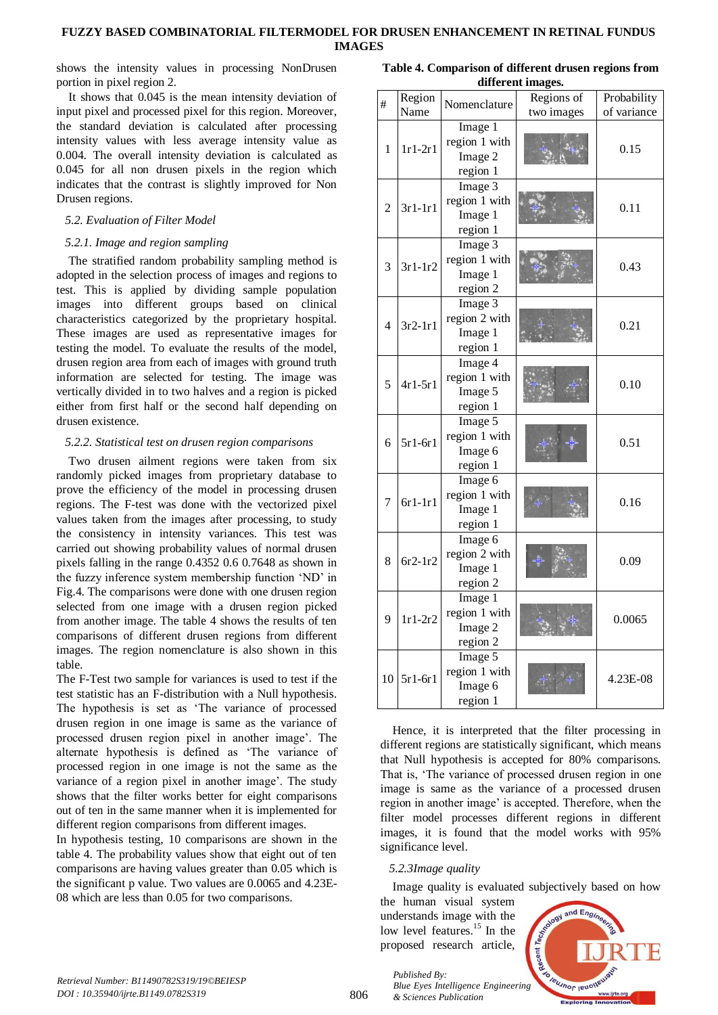shows the intensity values in processing NonDrusen portion in pixel region 2.

It shows that 0.045 is the mean intensity deviation of input pixel and processed pixel for this region. Moreover, the standard deviation is calculated after processing intensity values with less average intensity value as 0.004. The overall intensity deviation is calculated as 0.045 for all non drusen pixels in the region which indicates that the contrast is slightly improved for Non Drusen regions.

# *5.2. Evaluation of Filter Model*

# *5.2.1. Image and region sampling*

The stratified random probability sampling method is adopted in the selection process of images and regions to test. This is applied by dividing sample population images into different groups based on clinical characteristics categorized by the proprietary hospital. These images are used as representative images for testing the model. To evaluate the results of the model, drusen region area from each of images with ground truth information are selected for testing. The image was vertically divided in to two halves and a region is picked either from first half or the second half depending on drusen existence.

# *5.2.2. Statistical test on drusen region comparisons*

Two drusen ailment regions were taken from six randomly picked images from proprietary database to prove the efficiency of the model in processing drusen regions. The F-test was done with the vectorized pixel values taken from the images after processing, to study the consistency in intensity variances. This test was carried out showing probability values of normal drusen pixels falling in the range 0.4352 0.6 0.7648 as shown in the fuzzy inference system membership function 'ND' in Fig.4. The comparisons were done with one drusen region selected from one image with a drusen region picked from another image. The table 4 shows the results of ten comparisons of different drusen regions from different images. The region nomenclature is also shown in this table.

The F-Test two sample for variances is used to test if the test statistic has an F-distribution with a Null hypothesis. The hypothesis is set as 'The variance of processed drusen region in one image is same as the variance of processed drusen region pixel in another image'. The alternate hypothesis is defined as 'The variance of processed region in one image is not the same as the variance of a region pixel in another image'. The study shows that the filter works better for eight comparisons out of ten in the same manner when it is implemented for different region comparisons from different images.

In hypothesis testing, 10 comparisons are shown in the table 4. The probability values show that eight out of ten comparisons are having values greater than 0.05 which is the significant p value. Two values are 0.0065 and 4.23E-08 which are less than 0.05 for two comparisons.

**Table 4. Comparison of different drusen regions from different images.**

|                | unici chi magcs.<br>Regions of |                          |            |                            |  |  |
|----------------|--------------------------------|--------------------------|------------|----------------------------|--|--|
| #              | Region<br>Name                 | Nomenclature             | two images | Probability<br>of variance |  |  |
|                | $1r1-2r1$                      | Image 1                  |            |                            |  |  |
| 1              |                                | region 1 with<br>Image 2 |            | 0.15                       |  |  |
|                |                                | region 1                 |            |                            |  |  |
|                |                                | Image 3                  |            |                            |  |  |
| $\overline{2}$ | $3r1-1r1$                      | region 1 with            |            | 0.11                       |  |  |
|                |                                | Image 1                  |            |                            |  |  |
|                |                                | region 1                 |            |                            |  |  |
| 3              | $3r1-1r2$                      | Image 3                  |            |                            |  |  |
|                |                                | region 1 with            |            | 0.43                       |  |  |
|                |                                | Image 1                  |            |                            |  |  |
|                |                                | region 2                 |            |                            |  |  |
| $\overline{4}$ | $3r2-1r1$                      | Image 3                  |            |                            |  |  |
|                |                                | region 2 with            |            | 0.21                       |  |  |
|                |                                | Image 1                  |            |                            |  |  |
|                |                                | region 1                 |            |                            |  |  |
| 5              | $4r1-5r1$                      | Image 4                  |            | 0.10                       |  |  |
|                |                                | region 1 with            |            |                            |  |  |
|                |                                | Image 5                  |            |                            |  |  |
|                |                                | region 1                 |            |                            |  |  |
|                | $5r1-6r1$                      | Image 5                  |            | 0.51                       |  |  |
| 6              |                                | region 1 with            |            |                            |  |  |
|                |                                | Image 6                  |            |                            |  |  |
|                |                                | region 1                 |            |                            |  |  |
|                | $6r1-1r1$                      | Image 6                  |            | 0.16                       |  |  |
| $\overline{7}$ |                                | region 1 with            |            |                            |  |  |
|                |                                | Image 1                  |            |                            |  |  |
|                |                                | region 1                 |            |                            |  |  |
| 8              | $6r2-1r2$                      | Image 6                  |            | 0.09                       |  |  |
|                |                                | region 2 with            |            |                            |  |  |
|                |                                | Image 1                  |            |                            |  |  |
|                |                                | region 2                 |            |                            |  |  |
| 9              | $1r1-2r2$                      | Image 1                  |            |                            |  |  |
|                |                                | region 1 with            |            | 0.0065                     |  |  |
|                |                                | Image 2                  |            |                            |  |  |
|                |                                | region 2                 |            |                            |  |  |
| 10             | $5r1-6r1$                      | Image 5                  |            | 4.23E-08                   |  |  |
|                |                                | region 1 with            |            |                            |  |  |
|                |                                | Image 6                  |            |                            |  |  |
|                |                                | region 1                 |            |                            |  |  |

Hence, it is interpreted that the filter processing in different regions are statistically significant, which means that Null hypothesis is accepted for 80% comparisons. That is, 'The variance of processed drusen region in one image is same as the variance of a processed drusen region in another image' is accepted. Therefore, when the filter model processes different regions in different images, it is found that the model works with 95% significance level.

# *5.2.3Image quality*

Image quality is evaluated subjectively based on how

the human visual system understands image with the low level features.<sup>15</sup> In the proposed research article,



806

*Published By: Blue Eyes Intelligence Engineering & Sciences Publication*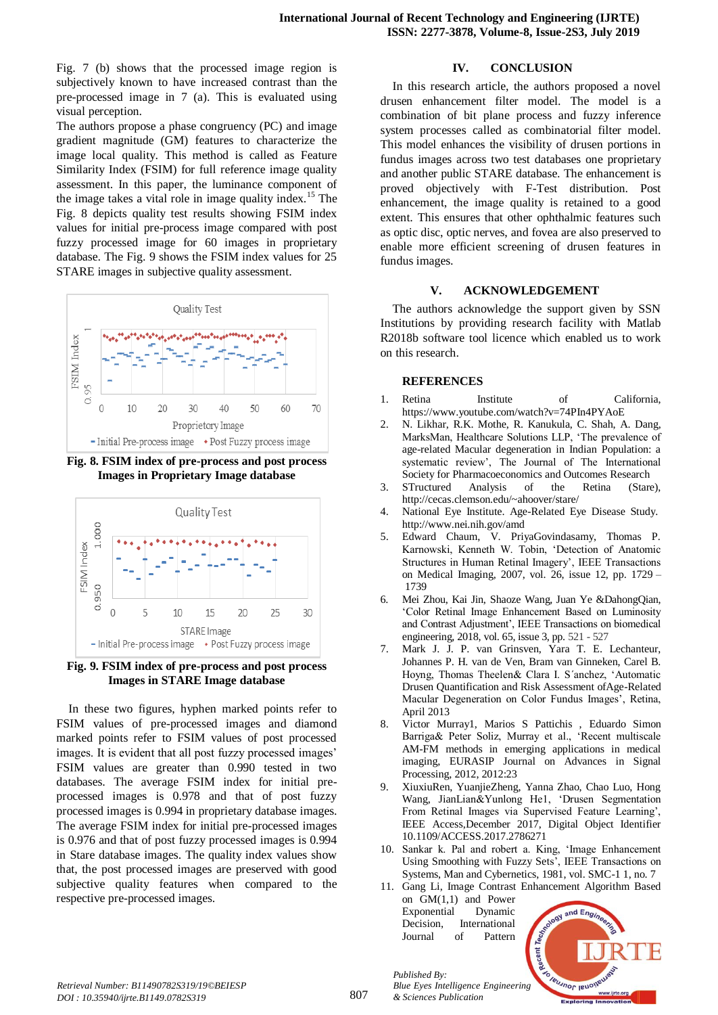Fig. 7 (b) shows that the processed image region is subjectively known to have increased contrast than the pre-processed image in 7 (a). This is evaluated using visual perception.

The authors propose a phase congruency (PC) and image gradient magnitude (GM) features to characterize the image local quality. This method is called as Feature Similarity Index (FSIM) for full reference image quality assessment. In this paper, the luminance component of the image takes a vital role in image quality index.<sup>15</sup> The Fig. 8 depicts quality test results showing FSIM index values for initial pre-process image compared with post fuzzy processed image for 60 images in proprietary database. The Fig. 9 shows the FSIM index values for 25 STARE images in subjective quality assessment.



**Fig. 8. FSIM index of pre-process and post process Images in Proprietary Image database**



**Fig. 9. FSIM index of pre-process and post process Images in STARE Image database**

In these two figures, hyphen marked points refer to FSIM values of pre-processed images and diamond marked points refer to FSIM values of post processed images. It is evident that all post fuzzy processed images' FSIM values are greater than 0.990 tested in two databases. The average FSIM index for initial preprocessed images is 0.978 and that of post fuzzy processed images is 0.994 in proprietary database images. The average FSIM index for initial pre-processed images is 0.976 and that of post fuzzy processed images is 0.994 in Stare database images. The quality index values show that, the post processed images are preserved with good subjective quality features when compared to the respective pre-processed images.

# **IV. CONCLUSION**

In this research article, the authors proposed a novel drusen enhancement filter model. The model is a combination of bit plane process and fuzzy inference system processes called as combinatorial filter model. This model enhances the visibility of drusen portions in fundus images across two test databases one proprietary and another public STARE database. The enhancement is proved objectively with F-Test distribution. Post enhancement, the image quality is retained to a good extent. This ensures that other ophthalmic features such as optic disc, optic nerves, and fovea are also preserved to enable more efficient screening of drusen features in fundus images.

# **V. ACKNOWLEDGEMENT**

The authors acknowledge the support given by SSN Institutions by providing research facility with Matlab R2018b software tool licence which enabled us to work on this research.

# **REFERENCES**

- 1. Retina Institute of California, <https://www.youtube.com/watch?v=74PIn4PYAoE>
- 2. [N. Likhar, R.K. Mothe, R. Kanukula, C. Shah, A. Dang,](javascript:void(0);)  MarksMan, Healthcare Solutions LLP, 'The prevalence of age-related Macular degeneration in Indian Population: a systematic review', The Journal of The International Society for Pharmacoeconomics and Outcomes Research
- 3. STructured Analysis of the Retina (Stare), <http://cecas.clemson.edu/~ahoover/stare/>
- 4. National Eye Institute. Age-Related Eye Disease Study. <http://www.nei.nih.gov/amd>
- 5. Edward Chaum, V. PriyaGovindasamy, Thomas P. Karnowski, Kenneth W. Tobin, 'Detection of Anatomic Structures in Human Retinal Imagery', IEEE Transactions on Medical Imaging, 2007, vol. 26, issue 12, pp. 1729 – 1739
- 6. Mei Zhou, Kai Jin, Shaoze Wang, Juan Ye &DahongQian, 'Color Retinal Image Enhancement Based on Luminosity and Contrast Adjustment', IEEE Transactions on biomedical engineering, 2018, vol. 65, issue 3, pp. 521 - 527
- 7. Mark J. J. P. van Grinsven, Yara T. E. Lechanteur, Johannes P. H. van de Ven, Bram van Ginneken, Carel B. Hoyng, Thomas Theelen& Clara I. S´anchez, 'Automatic Drusen Quantification and Risk Assessment ofAge-Related Macular Degeneration on Color Fundus Images', Retina, April 2013
- 8. Victor Murray1, Marios S Pattichis , Eduardo Simon Barriga& Peter Soliz, Murray et al., 'Recent multiscale AM-FM methods in emerging applications in medical imaging, EURASIP Journal on Advances in Signal Processing, 2012, 2012:23
- 9. XiuxiuRen, YuanjieZheng, Yanna Zhao, Chao Luo, Hong Wang, JianLian&Yunlong He1, 'Drusen Segmentation From Retinal Images via Supervised Feature Learning', IEEE Access,December 2017, Digital Object Identifier 10.1109/ACCESS.2017.2786271
- 10. Sankar k. Pal and robert a. King, 'Image Enhancement Using Smoothing with Fuzzy Sets', IEEE Transactions on Systems, Man and Cybernetics, 1981, vol. SMC-1 1, no. 7
- 11. Gang Li, Image Contrast Enhancement Algorithm Based on GM(1,1) and Power Exponential Dynamic Decision, International Journal of Pattern

*Published By:*

*& Sciences Publication* 



807